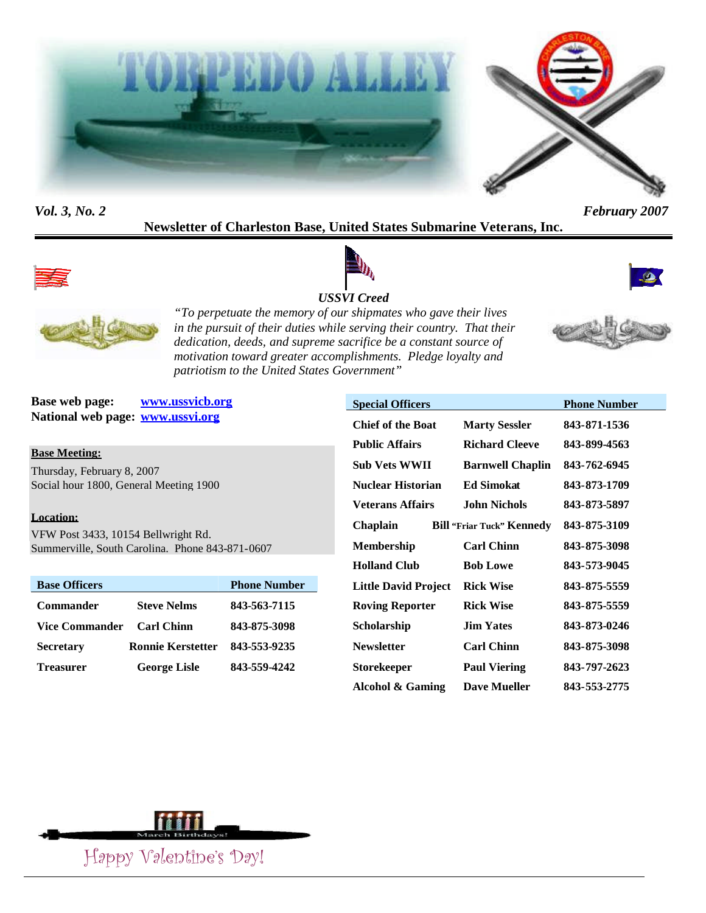



*Vol. 3, No. 2 February 2007*

## **Newsletter of Charleston Base, United States Submarine Veterans, Inc.**



# *USSVI Creed*





*"To perpetuate the memory of our shipmates who gave their lives in the pursuit of their duties while serving their country. That their dedication, deeds, and supreme sacrifice be a constant source of motivation toward greater accomplishments. Pledge loyalty and patriotism to the United States Government"*

**Base web page: www.ussvicb.org National web page: www.ussvi.org**

#### **Base Meeting:**

Thursday, February 8, 2007 Social hour 1800, General Meeting 1900

#### **Location:**

VFW Post 3433, 10154 Bellwright Rd. Summerville, South Carolina. Phone 843-871-0607

| <b>Base Officers</b>  |                          | <b>Phone Number</b> |
|-----------------------|--------------------------|---------------------|
| <b>Commander</b>      | <b>Steve Nelms</b>       | 843-563-7115        |
| <b>Vice Commander</b> | <b>Carl Chinn</b>        | 843-875-3098        |
| <b>Secretary</b>      | <b>Ronnie Kerstetter</b> | 843-553-9235        |
| <b>Treasurer</b>      | <b>George Lisle</b>      | 843-559-4242        |

| <b>Special Officers</b>     |                                  | <b>Phone Number</b> |
|-----------------------------|----------------------------------|---------------------|
| <b>Chief of the Boat</b>    | <b>Marty Sessler</b>             | 843-871-1536        |
| <b>Public Affairs</b>       | <b>Richard Cleeve</b>            | 843-899-4563        |
| <b>Sub Vets WWII</b>        | <b>Barnwell Chaplin</b>          | 843-762-6945        |
| Nuclear Historian           | <b>Ed Simokat</b>                | 843-873-1709        |
| <b>Veterans Affairs</b>     | <b>John Nichols</b>              | 843-873-5897        |
| Chaplain                    | <b>Bill "Friar Tuck" Kennedy</b> | 843-875-3109        |
| <b>Membership</b>           | <b>Carl Chinn</b>                | 843-875-3098        |
| <b>Holland Club</b>         | <b>Bob Lowe</b>                  | 843-573-9045        |
| <b>Little David Project</b> | <b>Rick Wise</b>                 | 843-875-5559        |
| <b>Roving Reporter</b>      | <b>Rick Wise</b>                 | 843-875-5559        |
| Scholarship                 | <b>Jim Yates</b>                 | 843-873-0246        |
| <b>Newsletter</b>           | <b>Carl Chinn</b>                | 843-875-3098        |
| <b>Storekeeper</b>          | <b>Paul Viering</b>              | 843-797-2623        |
| <b>Alcohol &amp; Gaming</b> | <b>Dave Mueller</b>              | 843-553-2775        |

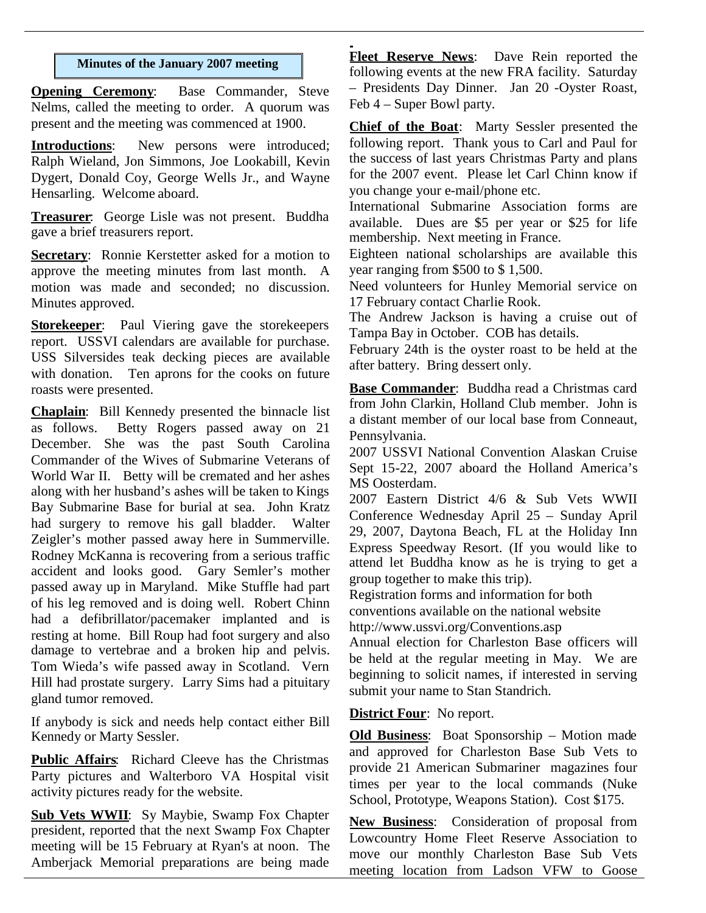#### **Minutes of the January 2007 meeting**

**Opening Ceremony:** Base Commander, Steve Nelms, called the meeting to order. A quorum was present and the meeting was commenced at 1900.

**Introductions**: New persons were introduced; Ralph Wieland, Jon Simmons, Joe Lookabill, Kevin Dygert, Donald Coy, George Wells Jr., and Wayne Hensarling. Welcome aboard.

**Treasurer**: George Lisle was not present. Buddha gave a brief treasurers report.

**Secretary**: Ronnie Kerstetter asked for a motion to approve the meeting minutes from last month. A motion was made and seconded; no discussion. Minutes approved.

**Storekeeper**: Paul Viering gave the storekeepers report. USSVI calendars are available for purchase. USS Silversides teak decking pieces are available with donation. Ten aprons for the cooks on future roasts were presented.

**Chaplain**: Bill Kennedy presented the binnacle list as follows. Betty Rogers passed away on 21 December. She was the past South Carolina Commander of the Wives of Submarine Veterans of World War II. Betty will be cremated and her ashes along with her husband's ashes will be taken to Kings Bay Submarine Base for burial at sea. John Kratz had surgery to remove his gall bladder. Walter Zeigler's mother passed away here in Summerville. Rodney McKanna is recovering from a serious traffic accident and looks good. Gary Semler's mother passed away up in Maryland. Mike Stuffle had part of his leg removed and is doing well. Robert Chinn had a defibrillator/pacemaker implanted and is resting at home. Bill Roup had foot surgery and also damage to vertebrae and a broken hip and pelvis. Tom Wieda's wife passed away in Scotland. Vern Hill had prostate surgery. Larry Sims had a pituitary gland tumor removed.

If anybody is sick and needs help contact either Bill Kennedy or Marty Sessler.

**Public Affairs**: Richard Cleeve has the Christmas Party pictures and Walterboro VA Hospital visit activity pictures ready for the website.

**Sub Vets WWII**: Sy Maybie, Swamp Fox Chapter president, reported that the next Swamp Fox Chapter meeting will be 15 February at Ryan's at noon. The Amberjack Memorial preparations are being made **Fleet Reserve News**: Dave Rein reported the following events at the new FRA facility. Saturday – Presidents Day Dinner. Jan 20 -Oyster Roast, Feb 4 – Super Bowl party.

**Chief of the Boat**: Marty Sessler presented the following report. Thank yous to Carl and Paul for the success of last years Christmas Party and plans for the 2007 event. Please let Carl Chinn know if you change your e-mail/phone etc.

International Submarine Association forms are available. Dues are \$5 per year or \$25 for life membership. Next meeting in France.

Eighteen national scholarships are available this year ranging from \$500 to \$ 1,500.

Need volunteers for Hunley Memorial service on 17 February contact Charlie Rook.

The Andrew Jackson is having a cruise out of Tampa Bay in October. COB has details.

February 24th is the oyster roast to be held at the after battery. Bring dessert only.

**Base Commander**: Buddha read a Christmas card from John Clarkin, Holland Club member. John is a distant member of our local base from Conneaut, Pennsylvania.

2007 USSVI National Convention Alaskan Cruise Sept 15-22, 2007 aboard the Holland America's MS Oosterdam.

2007 Eastern District 4/6 & Sub Vets WWII Conference Wednesday April 25 – Sunday April 29, 2007, Daytona Beach, FL at the Holiday Inn Express Speedway Resort. (If you would like to attend let Buddha know as he is trying to get a group together to make this trip).

Registration forms and information for both conventions available on the national website

http://www.ussvi.org/Conventions.asp

Annual election for Charleston Base officers will be held at the regular meeting in May. We are beginning to solicit names, if interested in serving submit your name to Stan Standrich.

## **District Four:** No report.

**Old Business**: Boat Sponsorship – Motion made and approved for Charleston Base Sub Vets to provide 21 American Submariner magazines four times per year to the local commands (Nuke School, Prototype, Weapons Station). Cost \$175.

**New Business**: Consideration of proposal from Lowcountry Home Fleet Reserve Association to move our monthly Charleston Base Sub Vets meeting location from Ladson VFW to Goose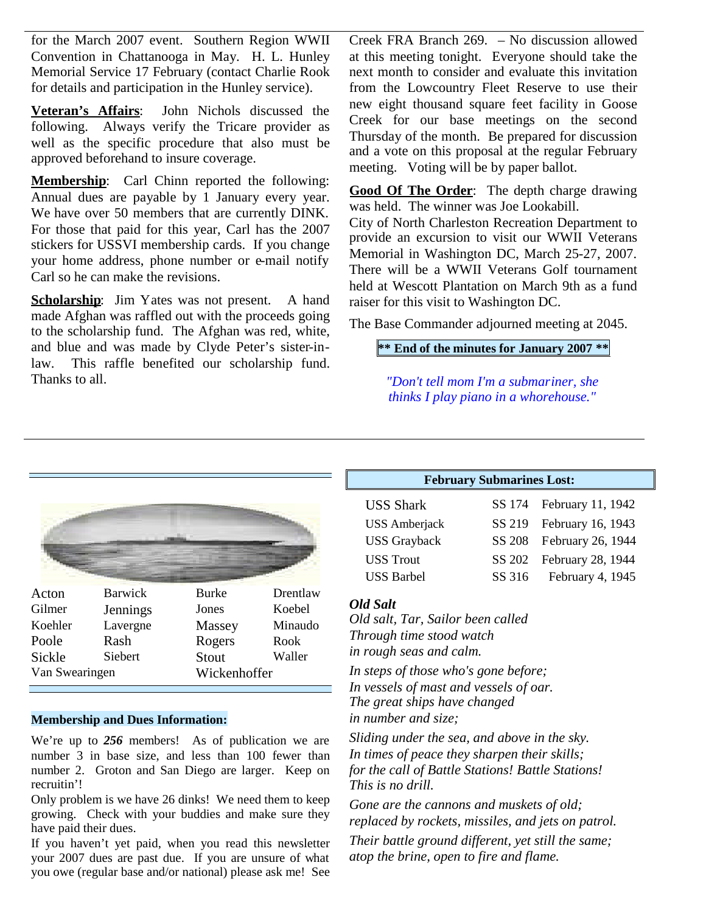for the March 2007 event. Southern Region WWII Convention in Chattanooga in May. H. L. Hunley Memorial Service 17 February (contact Charlie Rook for details and participation in the Hunley service).

**Veteran's Affairs**: John Nichols discussed the following. Always verify the Tricare provider as well as the specific procedure that also must be approved beforehand to insure coverage.

**Membership**: Carl Chinn reported the following: Annual dues are payable by 1 January every year. We have over 50 members that are currently DINK. For those that paid for this year, Carl has the 2007 stickers for USSVI membership cards. If you change your home address, phone number or e-mail notify Carl so he can make the revisions.

**Scholarship**: Jim Yates was not present. A hand made Afghan was raffled out with the proceeds going to the scholarship fund. The Afghan was red, white, and blue and was made by Clyde Peter's sister-inlaw. This raffle benefited our scholarship fund. Thanks to all.

Creek FRA Branch 269. – No discussion allowed at this meeting tonight. Everyone should take the next month to consider and evaluate this invitation from the Lowcountry Fleet Reserve to use their new eight thousand square feet facility in Goose Creek for our base meetings on the second Thursday of the month. Be prepared for discussion and a vote on this proposal at the regular February meeting. Voting will be by paper ballot.

**Good Of The Order**: The depth charge drawing was held. The winner was Joe Lookabill.

City of North Charleston Recreation Department to provide an excursion to visit our WWII Veterans Memorial in Washington DC, March 25-27, 2007. There will be a WWII Veterans Golf tournament held at Wescott Plantation on March 9th as a fund raiser for this visit to Washington DC.

The Base Commander adjourned meeting at 2045.

# **\*\* End of the minutes for January 2007 \*\***

*"Don't tell mom I'm a submariner, she thinks I play piano in a whorehouse."*



| Acton          | <b>Barwick</b> | <b>Burke</b> | Drentlaw |
|----------------|----------------|--------------|----------|
| Gilmer         | Jennings       | Jones        | Koebel   |
| Koehler        | Lavergne       | Massey       | Minaudo  |
| Poole          | Rash           | Rogers       | Rook     |
| Sickle         | Siebert        | Stout        | Waller   |
| Van Swearingen |                | Wickenhoffer |          |

#### **Membership and Dues Information:**

We're up to 256 members! As of publication we are number  $\overline{3}$  in base size, and less than 100 fewer than number 2. Groton and San Diego are larger. Keep on recruitin'!

Only problem is we have 26 dinks! We need them to keep growing. Check with your buddies and make sure they have paid their dues.

If you haven't yet paid, when you read this newsletter your 2007 dues are past due. If you are unsure of what you owe (regular base and/or national) please ask me! See

## **February Submarines Lost:**

| <b>USS Shark</b>     |        | SS 174 February 11, 1942 |
|----------------------|--------|--------------------------|
| <b>USS</b> Amberjack |        | SS 219 February 16, 1943 |
| <b>USS Grayback</b>  |        | SS 208 February 26, 1944 |
| <b>USS Trout</b>     |        | SS 202 February 28, 1944 |
| <b>USS Barbel</b>    | SS 316 | February 4, 1945         |

#### *Old Salt*

*Old salt, Tar, Sailor been called Through time stood watch in rough seas and calm. In steps of those who's gone before;*

*In vessels of mast and vessels of oar. The great ships have changed in number and size;*

*Sliding under the sea, and above in the sky. In times of peace they sharpen their skills; for the call of Battle Stations! Battle Stations! This is no drill.*

*Gone are the cannons and muskets of old; replaced by rockets, missiles, and jets on patrol. Their battle ground different, yet still the same; atop the brine, open to fire and flame.*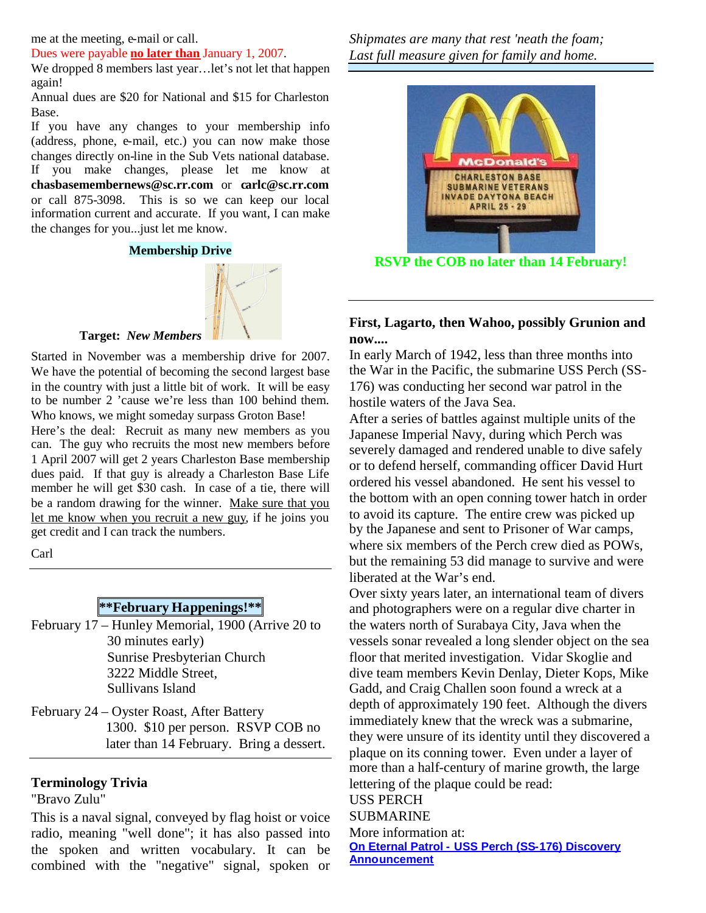me at the meeting, e-mail or call.

Dues were payable **no later than** January 1, 2007.

We dropped 8 members last year...let's not let that happen again!

Annual dues are \$20 for National and \$15 for Charleston Base.

If you have any changes to your membership info (address, phone, e-mail, etc.) you can now make those changes directly on-line in the Sub Vets national database. If you make changes, please let me know at **chasbasemembernews@sc.rr.com** or **carlc@sc.rr.com** or call 875-3098. This is so we can keep our local information current and accurate. If you want, I can make the changes for you...just let me know.

#### **Membership Drive**



#### **Target:** *New Members*

Started in November was a membership drive for 2007. We have the potential of becoming the second largest base in the country with just a little bit of work. It will be easy to be number 2 'cause we're less than 100 behind them. Who knows, we might someday surpass Groton Base!

Here's the deal: Recruit as many new members as you can. The guy who recruits the most new members before 1 April 2007 will get 2 years Charleston Base membership dues paid. If that guy is already a Charleston Base Life member he will get \$30 cash. In case of a tie, there will be a random drawing for the winner. Make sure that you let me know when you recruit a new guy, if he joins you get credit and I can track the numbers.

Carl

## **\*\*February Happenings!\*\***

- February 17 Hunley Memorial, 1900 (Arrive 20 to 30 minutes early) Sunrise Presbyterian Church 3222 Middle Street, Sullivans Island
- February 24 Oyster Roast, After Battery 1300. \$10 per person. RSVP COB no later than 14 February. Bring a dessert.

### **Terminology Trivia**

"Bravo Zulu"

This is a naval signal, conveyed by flag hoist or voice radio, meaning "well done"; it has also passed into the spoken and written vocabulary. It can be combined with the "negative" signal, spoken or *Shipmates are many that rest 'neath the foam; Last full measure given for family and home.*



**RSVP the COB no later than 14 February!**

## **First, Lagarto, then Wahoo, possibly Grunion and now....**

In early March of 1942, less than three months into the War in the Pacific, the submarine USS Perch (SS-176) was conducting her second war patrol in the hostile waters of the Java Sea.

After a series of battles against multiple units of the Japanese Imperial Navy, during which Perch was severely damaged and rendered unable to dive safely or to defend herself, commanding officer David Hurt ordered his vessel abandoned. He sent his vessel to the bottom with an open conning tower hatch in order to avoid its capture. The entire crew was picked up by the Japanese and sent to Prisoner of War camps, where six members of the Perch crew died as POWs, but the remaining 53 did manage to survive and were liberated at the War's end.

Over sixty years later, an international team of divers and photographers were on a regular dive charter in the waters north of Surabaya City, Java when the vessels sonar revealed a long slender object on the sea floor that merited investigation. Vidar Skoglie and dive team members Kevin Denlay, Dieter Kops, Mike Gadd, and Craig Challen soon found a wreck at a depth of approximately 190 feet. Although the divers immediately knew that the wreck was a submarine, they were unsure of its identity until they discovered a plaque on its conning tower. Even under a layer of more than a half-century of marine growth, the large lettering of the plaque could be read:

#### USS PERCH **SUBMARINE**

More information at:

**On Eternal Patrol - USS Perch (SS-176) Discovery Announcement**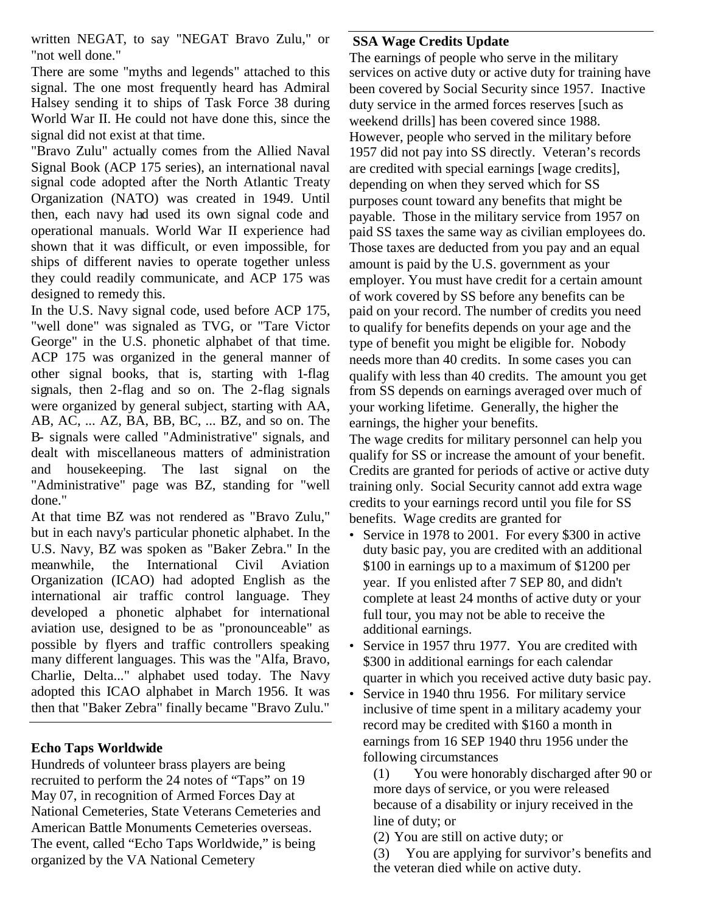written NEGAT, to say "NEGAT Bravo Zulu," or "not well done."

There are some "myths and legends" attached to this signal. The one most frequently heard has Admiral Halsey sending it to ships of Task Force 38 during World War II. He could not have done this, since the signal did not exist at that time.

"Bravo Zulu" actually comes from the Allied Naval Signal Book (ACP 175 series), an international naval signal code adopted after the North Atlantic Treaty Organization (NATO) was created in 1949. Until then, each navy had used its own signal code and operational manuals. World War II experience had shown that it was difficult, or even impossible, for ships of different navies to operate together unless they could readily communicate, and ACP 175 was designed to remedy this.

In the U.S. Navy signal code, used before ACP 175, "well done" was signaled as TVG, or "Tare Victor George" in the U.S. phonetic alphabet of that time. ACP 175 was organized in the general manner of other signal books, that is, starting with 1-flag signals, then 2-flag and so on. The 2-flag signals were organized by general subject, starting with AA, AB, AC, ... AZ, BA, BB, BC, ... BZ, and so on. The B- signals were called "Administrative" signals, and dealt with miscellaneous matters of administration and housekeeping. The last signal on the "Administrative" page was BZ, standing for "well done."

At that time BZ was not rendered as "Bravo Zulu," but in each navy's particular phonetic alphabet. In the  $\bullet$ U.S. Navy, BZ was spoken as "Baker Zebra." In the meanwhile, the International Civil Aviation Organization (ICAO) had adopted English as the international air traffic control language. They developed a phonetic alphabet for international aviation use, designed to be as "pronounceable" as possible by flyers and traffic controllers speaking many different languages. This was the "Alfa, Bravo, Charlie, Delta..." alphabet used today. The Navy adopted this ICAO alphabet in March 1956. It was then that "Baker Zebra" finally became "Bravo Zulu."

# **Echo Taps Worldwide**

Hundreds of volunteer brass players are being recruited to perform the 24 notes of "Taps" on 19 May 07, in recognition of Armed Forces Day at National Cemeteries, State Veterans Cemeteries and American Battle Monuments Cemeteries overseas. The event, called "Echo Taps Worldwide," is being organized by the VA National Cemetery

# **SSA Wage Credits Update**

The earnings of people who serve in the military services on active duty or active duty for training have been covered by Social Security since 1957. Inactive duty service in the armed forces reserves [such as weekend drills] has been covered since 1988. However, people who served in the military before 1957 did not pay into SS directly. Veteran's records are credited with special earnings [wage credits], depending on when they served which for SS purposes count toward any benefits that might be payable. Those in the military service from 1957 on paid SS taxes the same way as civilian employees do. Those taxes are deducted from you pay and an equal amount is paid by the U.S. government as your employer. You must have credit for a certain amount of work covered by SS before any benefits can be paid on your record. The number of credits you need to qualify for benefits depends on your age and the type of benefit you might be eligible for. Nobody needs more than 40 credits. In some cases you can qualify with less than 40 credits. The amount you get from SS depends on earnings averaged over much of your working lifetime. Generally, the higher the earnings, the higher your benefits.

The wage credits for military personnel can help you qualify for SS or increase the amount of your benefit. Credits are granted for periods of active or active duty training only. Social Security cannot add extra wage credits to your earnings record until you file for SS benefits. Wage credits are granted for

- Service in 1978 to 2001. For every \$300 in active duty basic pay, you are credited with an additional \$100 in earnings up to a maximum of \$1200 per year. If you enlisted after 7 SEP 80, and didn't complete at least 24 months of active duty or your full tour, you may not be able to receive the additional earnings.
- Service in 1957 thru 1977. You are credited with \$300 in additional earnings for each calendar quarter in which you received active duty basic pay.
- Service in 1940 thru 1956. For military service inclusive of time spent in a military academy your record may be credited with \$160 a month in earnings from 16 SEP 1940 thru 1956 under the following circumstances
	- (1) You were honorably discharged after 90 or more days of service, or you were released because of a disability or injury received in the line of duty; or
	- (2) You are still on active duty; or
	- (3) You are applying for survivor's benefits and the veteran died while on active duty.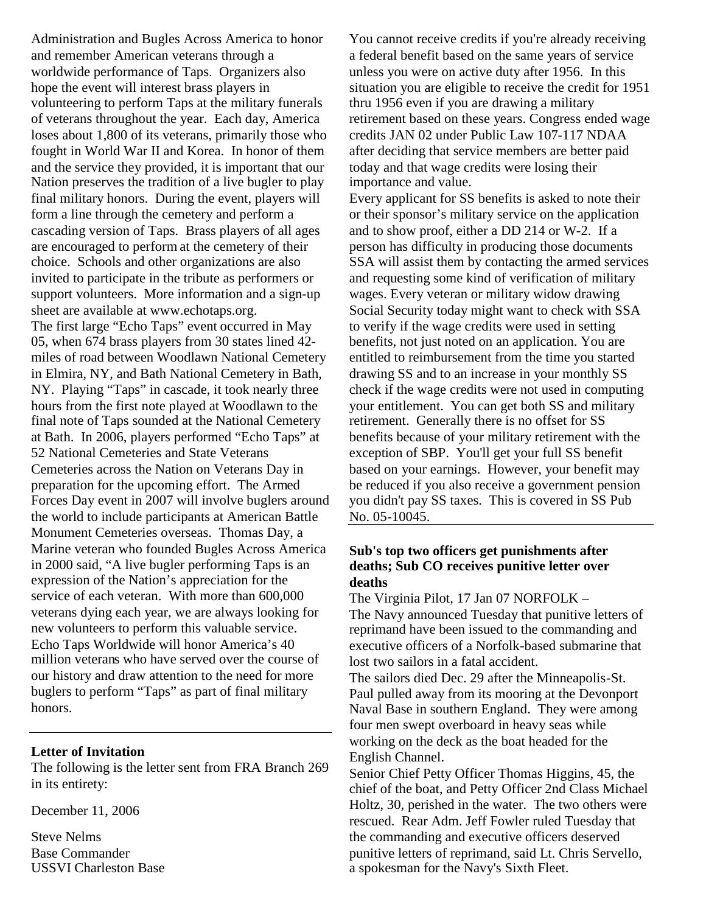Administration and Bugles Across America to honor and remember American veterans through a worldwide performance of Taps. Organizers also hope the event will interest brass players in volunteering to perform Taps at the military funerals of veterans throughout the year. Each day, America loses about 1,800 of its veterans, primarily those who fought in World War II and Korea. In honor of them and the service they provided, it is important that our Nation preserves the tradition of a live bugler to play final military honors. During the event, players will form a line through the cemetery and perform a cascading version of Taps. Brass players of all ages are encouraged to perform at the cemetery of their choice. Schools and other organizations are also invited to participate in the tribute as performers or support volunteers. More information and a sign-up sheet are available at www.echotaps.org. The first large "Echo Taps" event occurred in May 05, when 674 brass players from 30 states lined 42 miles of road between Woodlawn National Cemetery in Elmira, NY, and Bath National Cemetery in Bath, NY. Playing "Taps" in cascade, it took nearly three hours from the first note played at Woodlawn to the final note of Taps sounded at the National Cemetery at Bath. In 2006, players performed "Echo Taps" at 52 National Cemeteries and State Veterans Cemeteries across the Nation on Veterans Day in preparation for the upcoming effort. The Armed Forces Day event in 2007 will involve buglers around the world to include participants at American Battle Monument Cemeteries overseas. Thomas Day, a Marine veteran who founded Bugles Across America in 2000 said, "A live bugler performing Taps is an expression of the Nation's appreciation for the service of each veteran. With more than 600,000 veterans dying each year, we are always looking for new volunteers to perform this valuable service. Echo Taps Worldwide will honor America's 40 million veterans who have served over the course of our history and draw attention to the need for more buglers to perform "Taps" as part of final military honors.

# **Letter of Invitation**

The following is the letter sent from FRA Branch 269 in its entirety:

December 11, 2006

Steve Nelms Base Commander USSVI Charleston Base

You cannot receive credits if you're already receiving a federal benefit based on the same years of service unless you were on active duty after 1956. In this situation you are eligible to receive the credit for 1951 thru 1956 even if you are drawing a military retirement based on these years. Congress ended wage credits JAN 02 under Public Law 107-117 NDAA after deciding that service members are better paid today and that wage credits were losing their importance and value.

Every applicant for SS benefits is asked to note their or their sponsor's military service on the application and to show proof, either a DD 214 or W-2. If a person has difficulty in producing those documents SSA will assist them by contacting the armed services and requesting some kind of verification of military wages. Every veteran or military widow drawing Social Security today might want to check with SSA to verify if the wage credits were used in setting benefits, not just noted on an application. You are entitled to reimbursement from the time you started drawing SS and to an increase in your monthly SS check if the wage credits were not used in computing your entitlement. You can get both SS and military retirement. Generally there is no offset for SS benefits because of your military retirement with the exception of SBP. You'll get your full SS benefit based on your earnings. However, your benefit may be reduced if you also receive a government pension you didn't pay SS taxes. This is covered in SS Pub No. 05-10045.

# **Sub's top two officers get punishments after deaths; Sub CO receives punitive letter over deaths**

The Virginia Pilot, 17 Jan 07 NORFOLK –

The Navy announced Tuesday that punitive letters of reprimand have been issued to the commanding and executive officers of a Norfolk-based submarine that lost two sailors in a fatal accident.

The sailors died Dec. 29 after the Minneapolis-St. Paul pulled away from its mooring at the Devonport Naval Base in southern England. They were among four men swept overboard in heavy seas while working on the deck as the boat headed for the English Channel.

Senior Chief Petty Officer Thomas Higgins, 45, the chief of the boat, and Petty Officer 2nd Class Michael Holtz, 30, perished in the water. The two others were rescued. Rear Adm. Jeff Fowler ruled Tuesday that the commanding and executive officers deserved punitive letters of reprimand, said Lt. Chris Servello, a spokesman for the Navy's Sixth Fleet.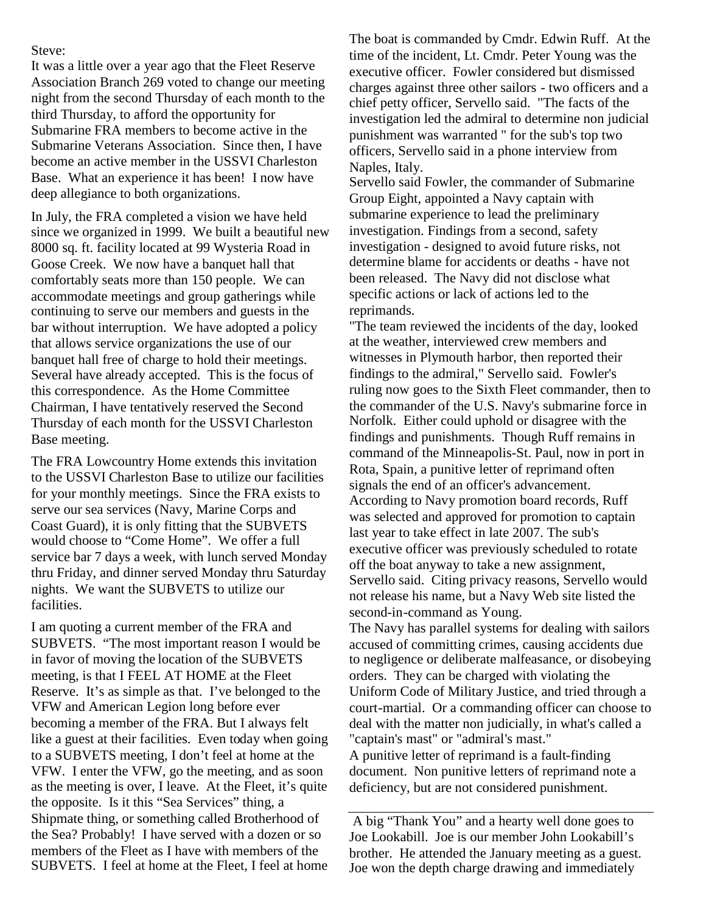## Steve:

It was a little over a year ago that the Fleet Reserve Association Branch 269 voted to change our meeting night from the second Thursday of each month to the third Thursday, to afford the opportunity for Submarine FRA members to become active in the Submarine Veterans Association. Since then, I have become an active member in the USSVI Charleston Base. What an experience it has been! I now have deep allegiance to both organizations.

In July, the FRA completed a vision we have held since we organized in 1999. We built a beautiful new 8000 sq. ft. facility located at 99 Wysteria Road in Goose Creek. We now have a banquet hall that comfortably seats more than 150 people. We can accommodate meetings and group gatherings while continuing to serve our members and guests in the bar without interruption. We have adopted a policy that allows service organizations the use of our banquet hall free of charge to hold their meetings. Several have already accepted. This is the focus of this correspondence. As the Home Committee Chairman, I have tentatively reserved the Second Thursday of each month for the USSVI Charleston Base meeting.

The FRA Lowcountry Home extends this invitation to the USSVI Charleston Base to utilize our facilities for your monthly meetings. Since the FRA exists to serve our sea services (Navy, Marine Corps and Coast Guard), it is only fitting that the SUBVETS would choose to "Come Home". We offer a full service bar 7 days a week, with lunch served Monday thru Friday, and dinner served Monday thru Saturday nights. We want the SUBVETS to utilize our facilities.

I am quoting a current member of the FRA and SUBVETS. "The most important reason I would be in favor of moving the location of the SUBVETS meeting, is that I FEEL AT HOME at the Fleet Reserve. It's as simple as that. I've belonged to the VFW and American Legion long before ever becoming a member of the FRA. But I always felt like a guest at their facilities. Even today when going to a SUBVETS meeting, I don't feel at home at the VFW. I enter the VFW, go the meeting, and as soon as the meeting is over, I leave. At the Fleet, it's quite the opposite. Is it this "Sea Services" thing, a Shipmate thing, or something called Brotherhood of the Sea? Probably! I have served with a dozen or so members of the Fleet as I have with members of the SUBVETS. I feel at home at the Fleet, I feel at home

The boat is commanded by Cmdr. Edwin Ruff. At the time of the incident, Lt. Cmdr. Peter Young was the executive officer. Fowler considered but dismissed charges against three other sailors - two officers and a chief petty officer, Servello said. "The facts of the investigation led the admiral to determine non judicial punishment was warranted " for the sub's top two officers, Servello said in a phone interview from Naples, Italy.

Servello said Fowler, the commander of Submarine Group Eight, appointed a Navy captain with submarine experience to lead the preliminary investigation. Findings from a second, safety investigation - designed to avoid future risks, not determine blame for accidents or deaths - have not been released. The Navy did not disclose what specific actions or lack of actions led to the reprimands.

"The team reviewed the incidents of the day, looked at the weather, interviewed crew members and witnesses in Plymouth harbor, then reported their findings to the admiral," Servello said. Fowler's ruling now goes to the Sixth Fleet commander, then to the commander of the U.S. Navy's submarine force in Norfolk. Either could uphold or disagree with the findings and punishments. Though Ruff remains in command of the Minneapolis-St. Paul, now in port in Rota, Spain, a punitive letter of reprimand often signals the end of an officer's advancement. According to Navy promotion board records, Ruff was selected and approved for promotion to captain last year to take effect in late 2007. The sub's executive officer was previously scheduled to rotate off the boat anyway to take a new assignment, Servello said. Citing privacy reasons, Servello would not release his name, but a Navy Web site listed the second-in-command as Young.

The Navy has parallel systems for dealing with sailors accused of committing crimes, causing accidents due to negligence or deliberate malfeasance, or disobeying orders. They can be charged with violating the Uniform Code of Military Justice, and tried through a court-martial. Or a commanding officer can choose to deal with the matter non judicially, in what's called a "captain's mast" or "admiral's mast." A punitive letter of reprimand is a fault-finding document. Non punitive letters of reprimand note a deficiency, but are not considered punishment.

A big "Thank You" and a hearty well done goes to Joe Lookabill. Joe is our member John Lookabill's brother. He attended the January meeting as a guest. Joe won the depth charge drawing and immediately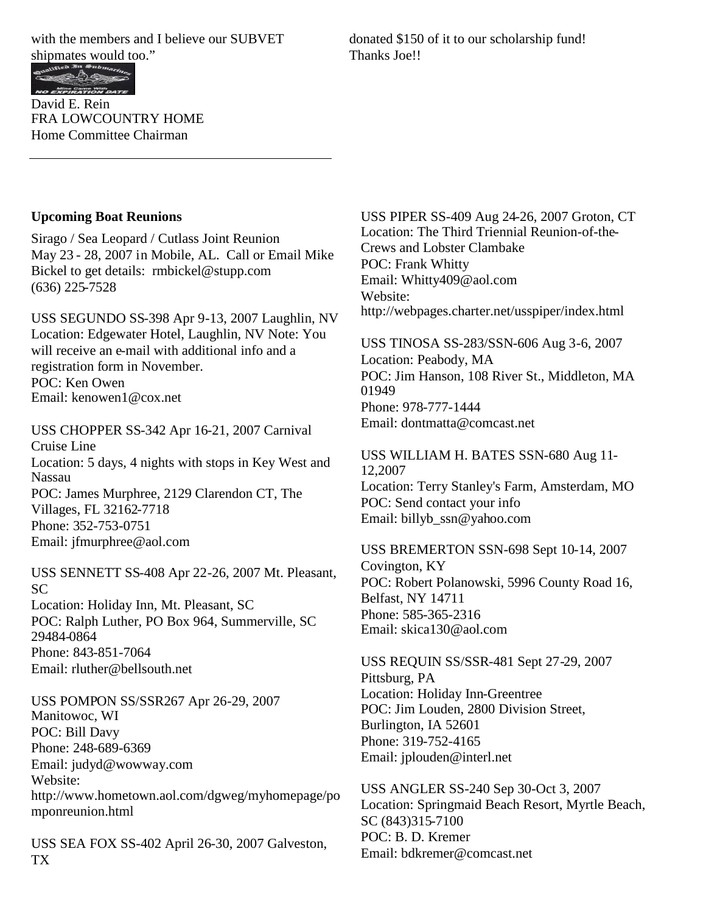with the members and I believe our SUBVET shipmates would too."



David E. Rein FRA LOWCOUNTRY HOME Home Committee Chairman

donated \$150 of it to our scholarship fund! Thanks Joe!!

# **Upcoming Boat Reunions**

Sirago / Sea Leopard / Cutlass Joint Reunion May 23 - 28, 2007 in Mobile, AL. Call or Email Mike Bickel to get details: rmbickel@stupp.com (636) 225-7528

USS SEGUNDO SS-398 Apr 9-13, 2007 Laughlin, NV Location: Edgewater Hotel, Laughlin, NV Note: You will receive an e-mail with additional info and a registration form in November. POC: Ken Owen

Email: kenowen1@cox.net

USS CHOPPER SS-342 Apr 16-21, 2007 Carnival Cruise Line Location: 5 days, 4 nights with stops in Key West and Nassau POC: James Murphree, 2129 Clarendon CT, The Villages, FL 32162-7718 Phone: 352-753-0751 Email: jfmurphree@aol.com

USS SENNETT SS-408 Apr 22-26, 2007 Mt. Pleasant, SC Location: Holiday Inn, Mt. Pleasant, SC POC: Ralph Luther, PO Box 964, Summerville, SC 29484-0864 Phone: 843-851-7064 Email: rluther@bellsouth.net

USS POMPON SS/SSR267 Apr 26-29, 2007 Manitowoc, WI POC: Bill Davy Phone: 248-689-6369 Email: judyd@wowway.com Website: http://www.hometown.aol.com/dgweg/myhomepage/po mponreunion.html

USS SEA FOX SS-402 April 26-30, 2007 Galveston, TX

USS PIPER SS-409 Aug 24-26, 2007 Groton, CT Location: The Third Triennial Reunion-of-the-Crews and Lobster Clambake POC: Frank Whitty Email: Whitty409@aol.com Website: http://webpages.charter.net/usspiper/index.html

USS TINOSA SS-283/SSN-606 Aug 3-6, 2007 Location: Peabody, MA POC: Jim Hanson, 108 River St., Middleton, MA 01949 Phone: 978-777-1444 Email: dontmatta@comcast.net

USS WILLIAM H. BATES SSN-680 Aug 11- 12,2007 Location: Terry Stanley's Farm, Amsterdam, MO POC: Send contact your info Email: billyb\_ssn@yahoo.com

USS BREMERTON SSN-698 Sept 10-14, 2007 Covington, KY POC: Robert Polanowski, 5996 County Road 16, Belfast, NY 14711 Phone: 585-365-2316 Email: skica130@aol.com

USS REQUIN SS/SSR-481 Sept 27-29, 2007 Pittsburg, PA Location: Holiday Inn-Greentree POC: Jim Louden, 2800 Division Street, Burlington, IA 52601 Phone: 319-752-4165 Email: jplouden@interl.net

USS ANGLER SS-240 Sep 30-Oct 3, 2007 Location: Springmaid Beach Resort, Myrtle Beach, SC (843)315-7100 POC: B. D. Kremer Email: bdkremer@comcast.net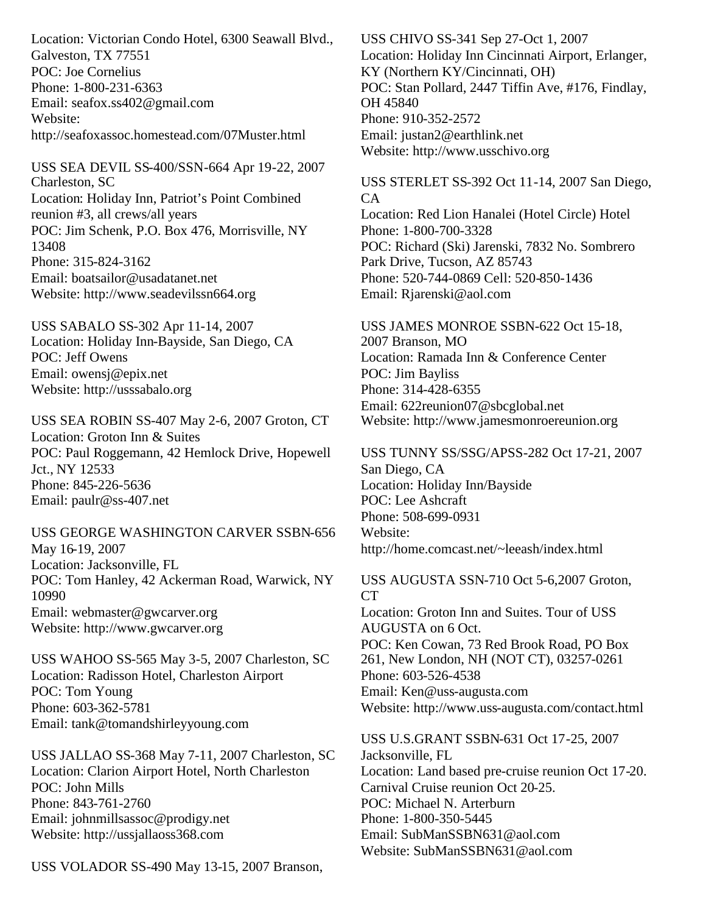Location: Victorian Condo Hotel, 6300 Seawall Blvd., Galveston, TX 77551 POC: Joe Cornelius Phone: 1-800-231-6363 Email: seafox.ss402@gmail.com Website: http://seafoxassoc.homestead.com/07Muster.html

USS SEA DEVIL SS-400/SSN-664 Apr 19-22, 2007 Charleston, SC Location: Holiday Inn, Patriot's Point Combined reunion #3, all crews/all years POC: Jim Schenk, P.O. Box 476, Morrisville, NY 13408 Phone: 315-824-3162 Email: boatsailor@usadatanet.net Website: http://www.seadevilssn664.org

USS SABALO SS-302 Apr 11-14, 2007 Location: Holiday Inn-Bayside, San Diego, CA POC: Jeff Owens Email: owensj@epix.net Website: http://usssabalo.org

USS SEA ROBIN SS-407 May 2-6, 2007 Groton, CT Location: Groton Inn & Suites POC: Paul Roggemann, 42 Hemlock Drive, Hopewell Jct., NY 12533 Phone: 845-226-5636 Email: paulr@ss-407.net

USS GEORGE WASHINGTON CARVER SSBN-656 May 16-19, 2007 Location: Jacksonville, FL POC: Tom Hanley, 42 Ackerman Road, Warwick, NY 10990 Email: webmaster@gwcarver.org Website: http://www.gwcarver.org

USS WAHOO SS-565 May 3-5, 2007 Charleston, SC Location: Radisson Hotel, Charleston Airport POC: Tom Young Phone: 603-362-5781 Email: tank@tomandshirleyyoung.com

USS JALLAO SS-368 May 7-11, 2007 Charleston, SC Location: Clarion Airport Hotel, North Charleston POC: John Mills Phone: 843-761-2760 Email: johnmillsassoc@prodigy.net Website: http://ussjallaoss368.com

USS VOLADOR SS-490 May 13-15, 2007 Branson,

USS CHIVO SS-341 Sep 27-Oct 1, 2007 Location: Holiday Inn Cincinnati Airport, Erlanger, KY (Northern KY/Cincinnati, OH) POC: Stan Pollard, 2447 Tiffin Ave, #176, Findlay, OH 45840 Phone: 910-352-2572 Email: justan2@earthlink.net Website: http://www.usschivo.org

USS STERLET SS-392 Oct 11-14, 2007 San Diego, CA Location: Red Lion Hanalei (Hotel Circle) Hotel Phone: 1-800-700-3328 POC: Richard (Ski) Jarenski, 7832 No. Sombrero Park Drive, Tucson, AZ 85743 Phone: 520-744-0869 Cell: 520-850-1436 Email: Rjarenski@aol.com

USS JAMES MONROE SSBN-622 Oct 15-18, 2007 Branson, MO Location: Ramada Inn & Conference Center POC: Jim Bayliss Phone: 314-428-6355 Email: 622reunion07@sbcglobal.net Website: http://www.jamesmonroereunion.org

USS TUNNY SS/SSG/APSS-282 Oct 17-21, 2007 San Diego, CA Location: Holiday Inn/Bayside POC: Lee Ashcraft Phone: 508-699-0931 Website: http://home.comcast.net/~leeash/index.html

USS AUGUSTA SSN-710 Oct 5-6,2007 Groton, CT Location: Groton Inn and Suites. Tour of USS AUGUSTA on 6 Oct. POC: Ken Cowan, 73 Red Brook Road, PO Box 261, New London, NH (NOT CT), 03257-0261 Phone: 603-526-4538 Email: Ken@uss-augusta.com Website: http://www.uss-augusta.com/contact.html

USS U.S.GRANT SSBN-631 Oct 17-25, 2007 Jacksonville, FL Location: Land based pre-cruise reunion Oct 17-20. Carnival Cruise reunion Oct 20-25. POC: Michael N. Arterburn Phone: 1-800-350-5445 Email: SubManSSBN631@aol.com Website: SubManSSBN631@aol.com